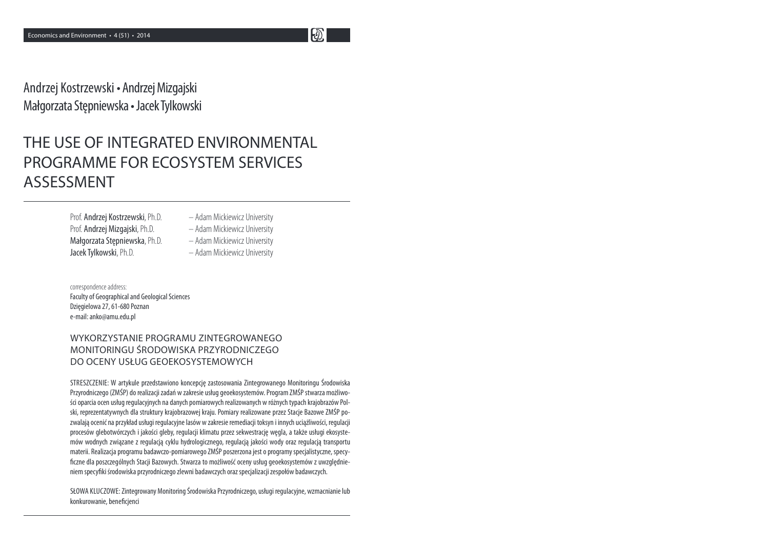$\mathbf{E}$ 

Andrzej Kostrzewski • Andrzej Mizgajski Małgorzata Stępniewska • Jacek Tylkowski

# THE USE OF INTEGRATED ENVIRONMENTAL PROGRAMME FOR ECOSYSTEM SERVICES ASSESSMENT

Prof. Andrzej Kostrzewski, Ph.D. – Adam Mickiewicz University Prof. Andrzej Mizgajski, Ph.D. – Adam Mickiewicz University Małgorzata Stępniewska, Ph.D. Jacek Tylkowski, Ph.D. **Frankling** - Adam Mickiewicz University

- Adam Mickiewicz University

correspondence address: Faculty of Geographical and Geological SciencesDzięgielowa 27, 61-680 Poznane-mail: anko@amu.edu.pl

### WYKORZYSTANIE PROGRAMU ZINTEGROWANEGO MONITORINGU ŚRODOWISKA PRZYRODNICZEGO DO OCENY USŁUG GEOEKOSYSTEMOWYCH

STRESZCZENIE: W artykule przedstawiono koncepcję zastosowania Zintegrowanego Monitoringu Środowiska Przyrodniczego (ZMŚP) do realizacji zadań w zakresie usług geoekosystemów. Program ZMŚP stwarza możliwości oparcia ocen usług regulacyjnych na danych pomiarowych realizowanych w różnych typach krajobrazów Polski, reprezentatywnych dla struktury krajobrazowej kraju. Pomiary realizowane przez Stacje Bazowe ZMŚP pozwalają ocenić na przykład usługi regulacyjne lasów w zakresie remediacji toksyn i innych uciążliwości, regulacji procesów glebotwórczych i jakości gleby, regulacji klimatu przez sekwestrację węgla, a także usługi ekosystemów wodnych związane z regulacją cyklu hydrologicznego, regulacją jakości wody oraz regulacją transportu materii. Realizacja programu badawczo-pomiarowego ZMŚP poszerzona jest o programy specjalistyczne, specy-7 czne dla poszczególnych Stacji Bazowych. Stwarza to możliwość oceny usług geoekosystemów z uwzględnieniem specyfiki środowiska przyrodniczego zlewni badawczych oraz specjalizacji zespołów badawczych.

SŁOWA KLUCZOWE: Zintegrowany Monitoring Środowiska Przyrodniczego, usługi regulacyjne, wzmacnianie lubkonkurowanie, beneficjenci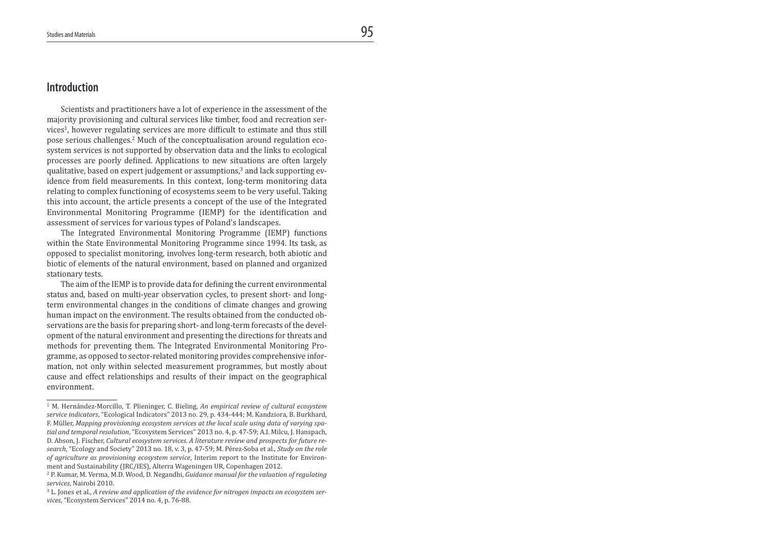### Introduction

 Scientists and practitioners have a lot of experience in the assessment of the majority provisioning and cultural services like timber, food and recreation services<sup>1</sup>, however regulating services are more difficult to estimate and thus still pose serious challenges.<sup>2</sup> Much of the conceptualisation around regulation ecosystem services is not supported by observation data and the links to ecological processes are poorly deined. Applications to new situations are often largely qualitative, based on expert judgement or assumptions,<sup>3</sup> and lack supporting evidence from field measurements. In this context, long-term monitoring data relating to complex functioning of ecosystems seem to be very useful. Taking this into account, the article presents a concept of the use of the Integrated Environmental Monitoring Programme (IEMP) for the identification and assessment of services for various types of Poland's landscapes.

 The Integrated Environmental Monitoring Programme (IEMP) functions within the State Environmental Monitoring Programme since 1994. Its task, as opposed to specialist monitoring, involves long-term research, both abiotic and biotic of elements of the natural environment, based on planned and organized stationary tests.

The aim of the IEMP is to provide data for defining the current environmental status and, based on multi-year observation cycles, to present short- and longterm environmental changes in the conditions of climate changes and growing human impact on the environment. The results obtained from the conducted observations are the basis for preparing short- and long-term forecasts of the development of the natural environment and presenting the directions for threats and methods for preventing them. The Integrated Environmental Monitoring Programme, as opposed to sector-related monitoring provides comprehensive information, not only within selected measurement programmes, but mostly about cause and effect relationships and results of their impact on the geographical environment.

<sup>&</sup>lt;sup>1</sup> M. Hernández-Morcillo, T. Plieninger, C. Bieling, An empirical review of cultural ecosystem service indicators, "Ecological Indicators" 2013 no. 29, p. 434-444; M. Kandziora, B. Burkhard, F. Müller, Mapping provisioning ecosystem services at the local scale using data of varying spatial and temporal resolution, "Ecosystem Services" 2013 no. 4, p. 47-59; A.I. Milcu, J. Hanspach, D. Abson, J. Fischer, Cultural ecosystem services. A literature review and prospects for future research, "Ecology and Society" 2013 no. 18, v. 3, p. 47-59; M. Pérez-Soba et al., Study on the role of agriculture as provisioning ecosystem service, Interim report to the Institute for Environment and Sustainability (JRC/IES), Alterra Wageningen UR, Copenhagen 2012.

<sup>2</sup> P. Kumar, M. Verma, M.D. Wood, D. Negandhi, Guidance manual for the valuation of regulating services, Nairobi 2010.

 $3$  L. Jones et al., A review and application of the evidence for nitrogen impacts on ecosystem services, "Ecosystem Services" 2014 no. 4, p. 76-88.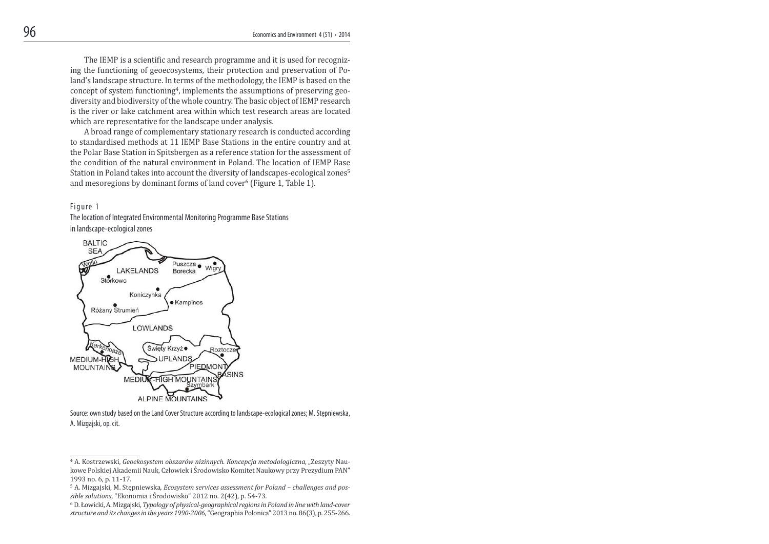The IEMP is a scientific and research programme and it is used for recognizing the functioning of geoecosystems, their protection and preservation of Poland's landscape structure. In terms of the methodology, the IEMP is based on the concept of system functioning<sup>4</sup>, implements the assumptions of preserving geodiversity and biodiversity of the whole country. The basic object of IEMP research is the river or lake catchment area within which test research areas are located which are representative for the landscape under analysis.

 A broad range of complementary stationary research is conducted according to standardised methods at 11 IEMP Base Stations in the entire country and at the Polar Base Station in Spitsbergen as a reference station for the assessment of the condition of the natural environment in Poland. The location of IEMP Base Station in Poland takes into account the diversity of landscapes-ecological zones<sup>5</sup> and mesoregions by dominant forms of land cover<sup>6</sup> (Figure 1, Table 1).

#### Figure 1

The location of Integrated Environmental Monitoring Programme Base Stations in landscape-ecological zones



Source: own study based on the Land Cover Structure according to landscape-ecological zones; M. Stępniewska, A. Mizgajski, op. cit.

<sup>4</sup> A. Kostrzewski, Geoekosystem obszarów nizinnych. Koncepcja metodologiczna, "Zeszyty Naukowe Polskiej Akademii Nauk, Człowiek i Środowisko Komitet Naukowy przy Prezydium PAN" 1993 no. 6, p. 11-17.

<sup>5</sup> A. Mizgajski, M. Stępniewska, Ecosystem services assessment for Poland – challenges and possible solutions, "Ekonomia i Środowisko" 2012 no. 2(42), p. 54-73.

<sup>6</sup> D. Łowicki, A. Mizgajski, Typology of physical-geographical regions in Poland in line with land-cover structure and its changes in the years 1990-2006, "Geographia Polonica" 2013 no. 86(3), p. 255-266.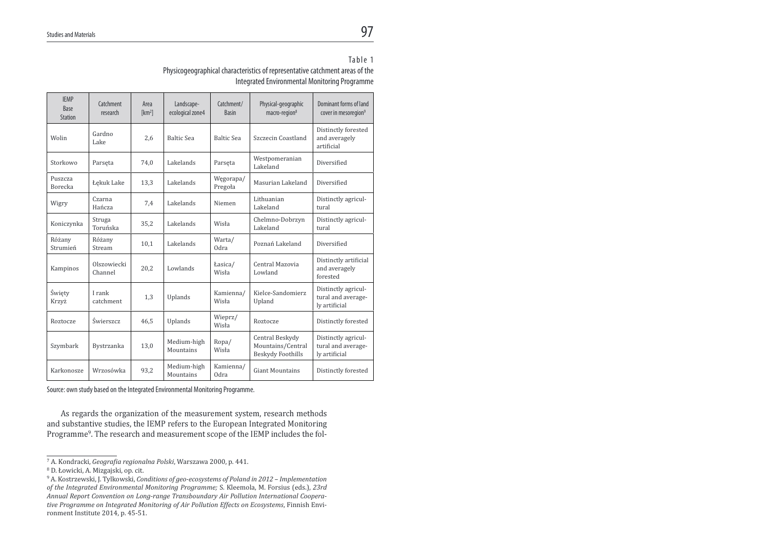# $\overline{\phantom{0}}$ <sub>s</sub>

#### Table 1

Physicogeographical characteristics of representative catchment areas of the Integrated Environmental Monitoring Programme

| <b>IEMP</b><br>Base<br><b>Station</b> | Catchment<br>research  | Area<br>[km <sup>2</sup> ] | Landscape-<br>ecological zone4 | Catchment/<br><b>Basin</b> | Physical-geographic<br>macro-region <sup>8</sup>          | Dominant forms of land<br>cover in mesoregion <sup>9</sup> |
|---------------------------------------|------------------------|----------------------------|--------------------------------|----------------------------|-----------------------------------------------------------|------------------------------------------------------------|
| Wolin                                 | Gardno<br>Lake         | 2.6                        | <b>Baltic Sea</b>              | <b>Baltic Sea</b>          | Szczecin Coastland                                        | Distinctly forested<br>and averagely<br>artificial         |
| Storkowo                              | Parseta                | 74,0                       | Lakelands                      | Parseta                    | Westpomeranian<br>Lakeland                                | Diversified                                                |
| Puszcza<br><b>Borecka</b>             | Łękuk Lake             | 13,3                       | Lakelands                      | Węgorapa/<br>Pregoła       | Masurian Lakeland                                         | Diversified                                                |
| Wigry                                 | Czarna<br>Hańcza       | 7,4                        | Lakelands                      | Niemen                     | Lithuanian<br>Lakeland                                    | Distinctly agricul-<br>tural                               |
| Koniczynka                            | Struga<br>Toruńska     | 35,2                       | Lakelands                      | Wisła                      | Chelmno-Dobrzyn<br>Lakeland                               | Distinctly agricul-<br>tural                               |
| Różany<br>Strumień                    | Różany<br>Stream       | 10.1                       | Lakelands                      | Warta/<br>Odra             | Poznań Lakeland                                           | Diversified                                                |
| Kampinos                              | Olszowiecki<br>Channel | 20,2                       | Lowlands                       | Łasica/<br>Wisła           | Central Mazovia<br>Lowland                                | Distinctly artificial<br>and averagely<br>forested         |
| Święty<br>Krzyż                       | I rank<br>catchment    | 1.3                        | Uplands                        | Kamienna/<br>Wisła         | Kielce-Sandomierz<br>Upland                               | Distinctly agricul-<br>tural and average-<br>ly artificial |
| Roztocze                              | Świerszcz              | 46.5                       | Uplands                        | Wieprz/<br>Wisła           | Roztocze                                                  | Distinctly forested                                        |
| Szymbark                              | Bystrzanka             | 13,0                       | Medium-high<br>Mountains       | Ropa/<br>Wisła             | Central Beskydy<br>Mountains/Central<br>Beskydy Foothills | Distinctly agricul-<br>tural and average-<br>ly artificial |
| Karkonosze                            | Wrzosówka              | 93.2                       | Medium-high<br>Mountains       | Kamienna/<br>Odra          | <b>Giant Mountains</b>                                    | Distinctly forested                                        |

Source: own study based on the Integrated Environmental Monitoring Programme.

As regards the organization of the measurement system, research methods and substantive studies, the IEMP refers to the European Integrated Monitoring Programme<sup>9</sup>. The research and measurement scope of the IEMP includes the fol-

<sup>&</sup>lt;sup>7</sup> A. Kondracki, Geografia regionalna Polski, Warszawa 2000, p. 441.

<sup>8</sup> D. Łowicki, A. Mizgajski, op. cit.

<sup>&</sup>lt;sup>9</sup> A. Kostrzewski, J. Tylkowski, Conditions of geo-ecosystems of Poland in 2012 - Implementation of the Integrated Environmental Monitoring Programme; S. Kleemola, M. Forsius (eds.), 23rd Annual Report Convention on Long-range Transboundary Air Pollution International Cooperative Programme on Integrated Monitoring of Air Pollution Effects on Ecosystems, Finnish Environment Institute 2014, p. 45-51.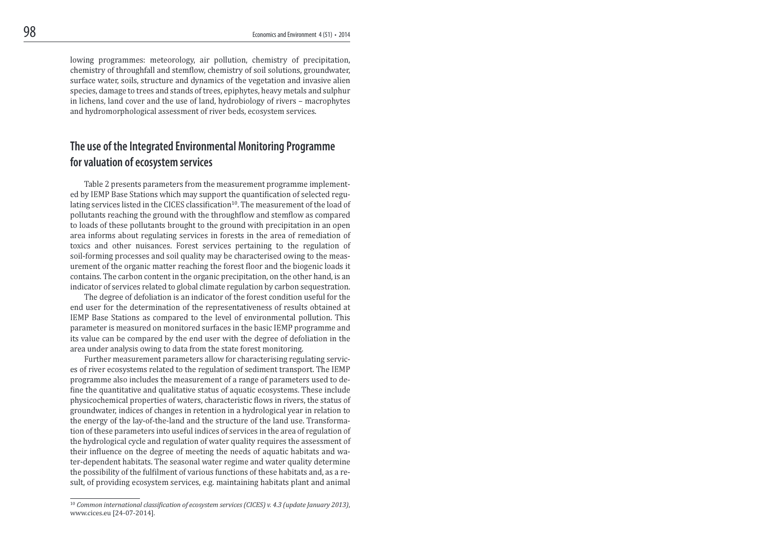lowing programmes: meteorology, air pollution, chemistry of precipitation, chemistry of throughfall and stemlow, chemistry of soil solutions, groundwater, surface water, soils, structure and dynamics of the vegetation and invasive alien species, damage to trees and stands of trees, epiphytes, heavy metals and sulphur in lichens, land cover and the use of land, hydrobiology of rivers – macrophytes and hydromorphological assessment of river beds, ecosystem services.

## The use of the Integrated Environmental Monitoring Programme for valuation of ecosystem services

 Table 2 presents parameters from the measurement programme implemented by IEMP Base Stations which may support the quantification of selected regulating services listed in the CICES classification<sup>10</sup>. The measurement of the load of pollutants reaching the ground with the throughlow and stemlow as compared to loads of these pollutants brought to the ground with precipitation in an open area informs about regulating services in forests in the area of remediation of toxics and other nuisances. Forest services pertaining to the regulation of soil-forming processes and soil quality may be characterised owing to the measurement of the organic matter reaching the forest loor and the biogenic loads it contains. The carbon content in the organic precipitation, on the other hand, is an indicator of services related to global climate regulation by carbon sequestration.

 The degree of defoliation is an indicator of the forest condition useful for the end user for the determination of the representativeness of results obtained at IEMP Base Stations as compared to the level of environmental pollution. This parameter is measured on monitored surfaces in the basic IEMP programme and its value can be compared by the end user with the degree of defoliation in the area under analysis owing to data from the state forest monitoring.

 Further measurement parameters allow for characterising regulating services of river ecosystems related to the regulation of sediment transport. The IEMP programme also includes the measurement of a range of parameters used to define the quantitative and qualitative status of aquatic ecosystems. These include physicochemical properties of waters, characteristic lows in rivers, the status of groundwater, indices of changes in retention in a hydrological year in relation to the energy of the lay-of-the-land and the structure of the land use. Transformation of these parameters into useful indices of services in the area of regulation of the hydrological cycle and regulation of water quality requires the assessment of their influence on the degree of meeting the needs of aquatic habitats and water-dependent habitats. The seasonal water regime and water quality determine the possibility of the fulilment of various functions of these habitats and, as a result, of providing ecosystem services, e.g. maintaining habitats plant and animal

 $^{10}$  Common international classification of ecosystem services (CICES) v. 4.3 (update January 2013), www.cices.eu [24-07-2014].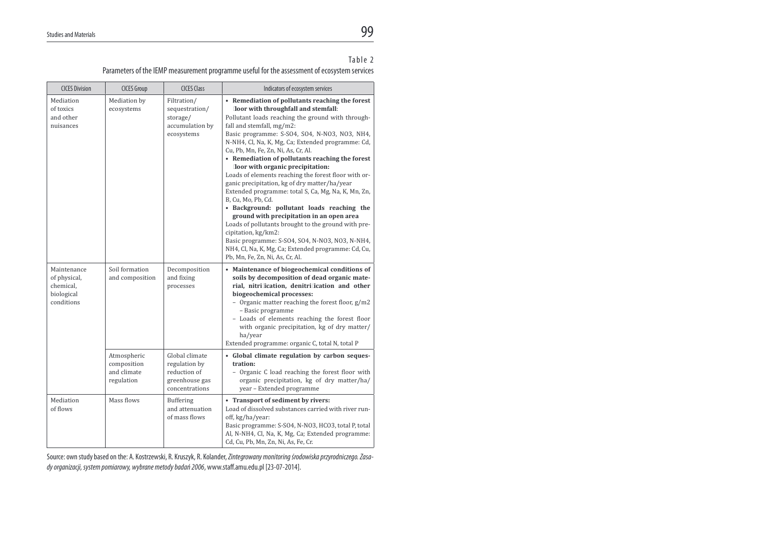# $\sim$  99

#### Table 2

Parameters of the IEMP measurement programme useful for the assessment of ecosystem services

| <b>CICES Division</b>                                                | <b>CICES Group</b>                                      | <b>CICES Class</b>                                                                  | Indicators of ecosystem services                                                                                                                                                                                                                                                                                                                                                                                                                                                                                                                                                                                                                                                                                                                                                                                                                                                                                         |
|----------------------------------------------------------------------|---------------------------------------------------------|-------------------------------------------------------------------------------------|--------------------------------------------------------------------------------------------------------------------------------------------------------------------------------------------------------------------------------------------------------------------------------------------------------------------------------------------------------------------------------------------------------------------------------------------------------------------------------------------------------------------------------------------------------------------------------------------------------------------------------------------------------------------------------------------------------------------------------------------------------------------------------------------------------------------------------------------------------------------------------------------------------------------------|
| Mediation<br>of toxics<br>and other<br>nuisances                     | Mediation by<br>ecosystems                              | Filtration/<br>sequestration/<br>storage/<br>accumulation by<br>ecosystems          | • Remediation of pollutants reaching the forest<br>loor with throughfall and stemfall:<br>Pollutant loads reaching the ground with through-<br>fall and stemfall, mg/m2:<br>Basic programme: S-SO4, SO4, N-NO3, NO3, NH4,<br>N-NH4, Cl, Na, K, Mg, Ca; Extended programme: Cd,<br>Cu, Pb, Mn, Fe, Zn, Ni, As, Cr, Al.<br>• Remediation of pollutants reaching the forest<br>loor with organic precipitation:<br>Loads of elements reaching the forest floor with or-<br>ganic precipitation, kg of dry matter/ha/year<br>Extended programme: total S, Ca, Mg, Na, K, Mn, Zn,<br>B, Cu, Mo, Pb, Cd.<br>• Background: pollutant loads reaching the<br>ground with precipitation in an open area<br>Loads of pollutants brought to the ground with pre-<br>cipitation, kg/km2:<br>Basic programme: S-SO4, SO4, N-NO3, NO3, N-NH4,<br>NH4, Cl, Na, K, Mg, Ca; Extended programme: Cd, Cu,<br>Pb, Mn, Fe, Zn, Ni, As, Cr, Al. |
| Maintenance<br>of physical,<br>chemical,<br>biological<br>conditions | Soil formation<br>and composition                       | Decomposition<br>and fixing<br>processes                                            | • Maintenance of biogeochemical conditions of<br>soils by decomposition of dead organic mate-<br>rial, nitri ication, denitri ication and other<br>biogeochemical processes:<br>- Organic matter reaching the forest floor, g/m2<br>- Basic programme<br>- Loads of elements reaching the forest floor<br>with organic precipitation, kg of dry matter/<br>ha/year<br>Extended programme: organic C, total N, total P                                                                                                                                                                                                                                                                                                                                                                                                                                                                                                    |
|                                                                      | Atmospheric<br>composition<br>and climate<br>regulation | Global climate<br>regulation by<br>reduction of<br>greenhouse gas<br>concentrations | • Global climate regulation by carbon seques-<br>tration:<br>- Organic C load reaching the forest floor with<br>organic precipitation, kg of dry matter/ha/<br>year - Extended programme                                                                                                                                                                                                                                                                                                                                                                                                                                                                                                                                                                                                                                                                                                                                 |
| Mediation<br>of flows                                                | Mass flows                                              | Buffering<br>and attenuation<br>of mass flows                                       | • Transport of sediment by rivers:<br>Load of dissolved substances carried with river run-<br>off, kg/ha/year:<br>Basic programme: S-SO4, N-NO3, HCO3, total P, total<br>Al, N-NH4, Cl, Na, K, Mg, Ca; Extended programme:<br>Cd, Cu, Pb, Mn, Zn, Ni, As, Fe, Cr.                                                                                                                                                                                                                                                                                                                                                                                                                                                                                                                                                                                                                                                        |

Source: own study based on the: A. Kostrzewski, R. Kruszyk, R. Kolander, Zintegrowany monitoring środowiska przyrodniczego. Zasady organizacji, system pomiarowy, wybrane metody badań 2006, www.staff.amu.edu.pl [23-07-2014].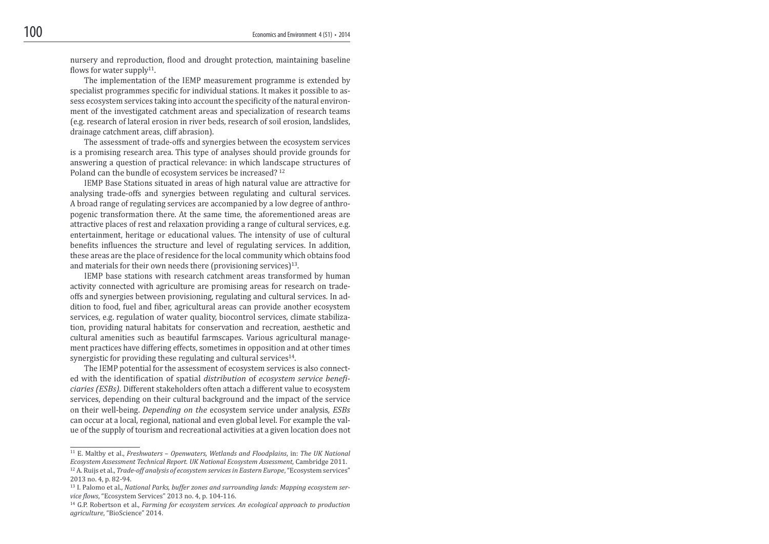nursery and reproduction, flood and drought protection, maintaining baseline flows for water supply<sup>11</sup>.

 The implementation of the IEMP measurement programme is extended by specialist programmes specific for individual stations. It makes it possible to assess ecosystem services taking into account the specificity of the natural environment of the investigated catchment areas and specialization of research teams (e.g. research of lateral erosion in river beds, research of soil erosion, landslides, drainage catchment areas, cliff abrasion).

 The assessment of trade-offs and synergies between the ecosystem services is a promising research area. This type of analyses should provide grounds for answering a question of practical relevance: in which landscape structures of Poland can the bundle of ecosystem services be increased? <sup>12</sup>

 IEMP Base Stations situated in areas of high natural value are attractive for analysing trade-offs and synergies between regulating and cultural services. A broad range of regulating services are accompanied by a low degree of anthropogenic transformation there. At the same time, the aforementioned areas are attractive places of rest and relaxation providing a range of cultural services, e.g. entertainment, heritage or educational values. The intensity of use of cultural benefits influences the structure and level of regulating services. In addition, these areas are the place of residence for the local community which obtains food and materials for their own needs there (provisioning services) $13$ .

 IEMP base stations with research catchment areas transformed by human activity connected with agriculture are promising areas for research on tradeoffs and synergies between provisioning, regulating and cultural services. In addition to food, fuel and fiber, agricultural areas can provide another ecosystem services, e.g. regulation of water quality, biocontrol services, climate stabilization, providing natural habitats for conservation and recreation, aesthetic and cultural amenities such as beautiful farmscapes. Various agricultural management practices have differing effects, sometimes in opposition and at other times synergistic for providing these regulating and cultural services $14$ .

 The IEMP potential for the assessment of ecosystem services is also connected with the identification of spatial distribution of ecosystem service beneficiaries (ESBs). Different stakeholders often attach a different value to ecosystem services, depending on their cultural background and the impact of the service on their well-being. Depending on the ecosystem service under analysis, ESBs can occur at a local, regional, national and even global level. For example the value of the supply of tourism and recreational activities at a given location does not

 $11$  E. Maltby et al., Freshwaters – Openwaters, Wetlands and Floodplains, in: The UK National Ecosystem Assessment Technical Report. UK National Ecosystem Assessment, Cambridge 2011.

<sup>&</sup>lt;sup>12</sup> A. Ruijs et al., *Trade-off analysis of ecosystem services in Eastern Europe*, "Ecosystem services" 2013 no. 4, p. 82-94.

<sup>&</sup>lt;sup>13</sup> I. Palomo et al., National Parks, buffer zones and surrounding lands: Mapping ecosystem service flows, "Ecosystem Services" 2013 no. 4, p. 104-116.

 $14$  G.P. Robertson et al., Farming for ecosystem services. An ecological approach to production agriculture, "BioScience" 2014.